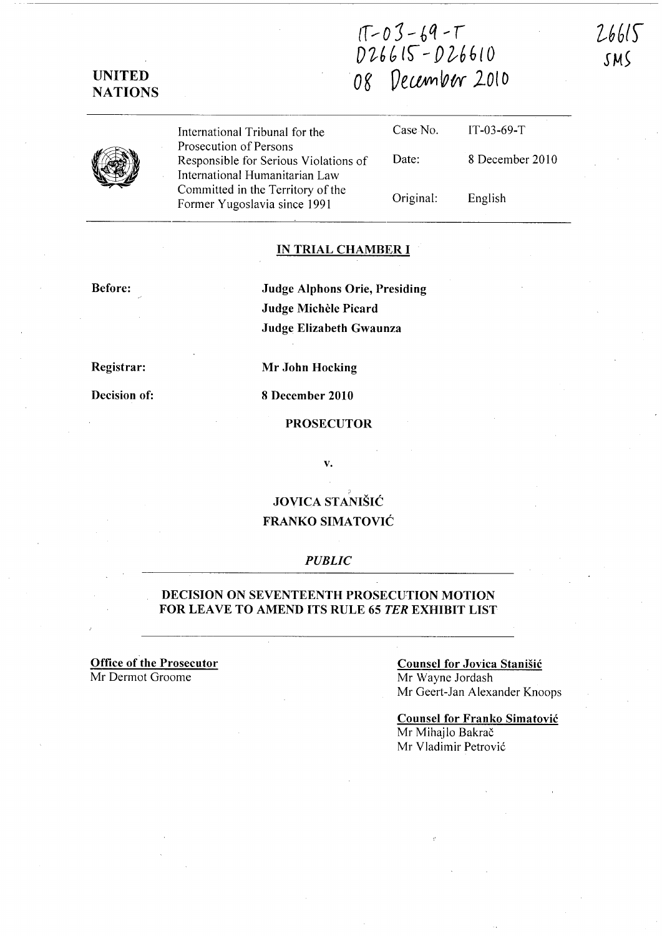*iT.--* 0 J -- <sup>~</sup>*q* ~ r D~6b **lS- -** *f)l-66{O*  **Og Oel/;W1ww 2010** 

26615

*SM5* 

**UNITED NATIONS** 

|  | International Tribunal for the                                                                    | Case No.  | $IT-03-69-T$    |
|--|---------------------------------------------------------------------------------------------------|-----------|-----------------|
|  | Prosecution of Persons<br>Responsible for Serious Violations of<br>International Humanitarian Law | Date:     | 8 December 2010 |
|  | Committed in the Territory of the<br>Former Yugoslavia since 1991                                 | Original: | English         |

#### **IN TRIAL CHAMBER I**

#### **Before:**

**Judge Alphons Orie, Presiding Judge Michele Picard Judge Elizabeth Gwaunza** 

**Registrar:** 

**Decision of:** 

**8 December 2010** 

**Mr John Hocking** 

#### **PROSECUTOR**

v.

# ? **JOVICA STANISIC FRANKO SIMATOVIC**

### *PUBLIC*

### **DECISION ON SEVENTEENTH PROSECUTION MOTION FOR LEA VE TO AMEND ITS RULE 65 TER EXHIBIT LIST**

**Office of the Prosecutor**  Mr Dermot Groome

#### **Counsel for Jovica StaniSic**

Mr Wayne Jordash Mr Geert-Jan Alexander Knoops

**Counsel for Franko Simatovic**  Mr Mihajlo Bakrač Mr Vladimir Petrović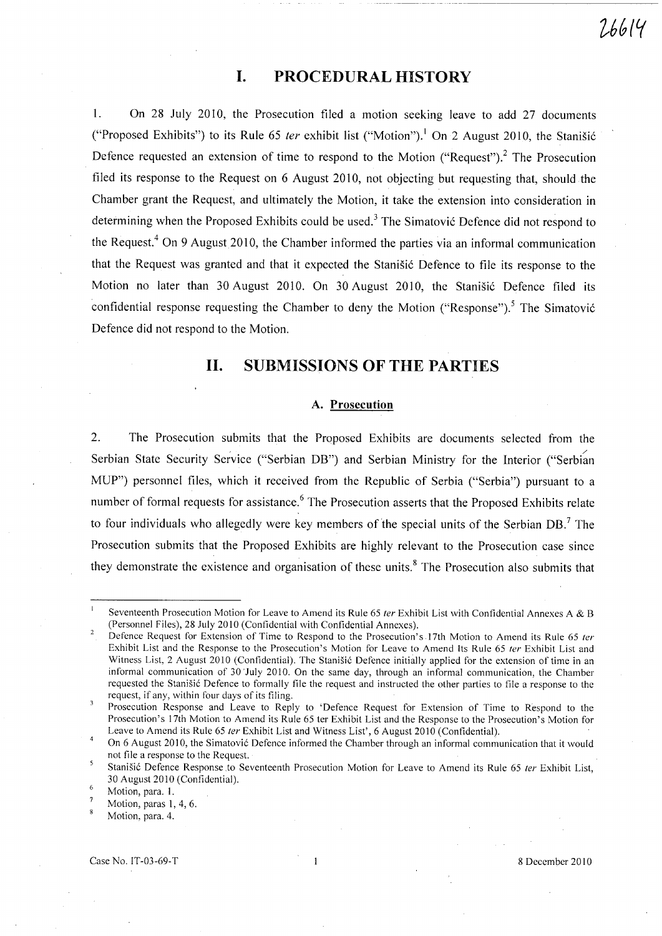# **I. PROCEDURAL HISTORY**

l. On 28 July 2010, the Prosecution filed a motion seeking leave to add 27 documents ("Proposed Exhibits") to its Rule 65 *ter* exhibit list ("Motion").<sup>1</sup> On 2 August 2010, the Stanisic Defence requested an extension of time to respond to the Motion ("Request").<sup>2</sup> The Prosecution filed its response to the Request on 6 August 2010, not objecting but requesting that, should the Chamber grant the Request, and ultimately the Motion, it take the extension into consideration in determining when the Proposed Exhibits could be used.<sup>3</sup> The Simatović Defence did not respond to the Request.<sup>4</sup> On 9 August 2010, the Chamber informed the parties via an informal communication that the Request was granted and that it expected the Stanišić Defence to file its response to the Motion no later than 30 August 2010. On 30 August 2010, the Stanišić Defence filed its confidential response requesting the Chamber to deny the Motion ("Response").<sup>5</sup> The Simatović Defence did not respond to the Motion.

## **11. SUBMISSIONS OF THE PARTIES**

#### **A. Prosecution**

2. The Prosecution submits that the Proposed Exhibits are documents selected from the Serbian State Security Service ("Serbian DB") and Serbian Ministry for the Interior ("Serbian MUP") personnel files, which it received from the Republic of Serbia ("Serbia") pursuant to a number of formal requests for assistance.<sup>6</sup> The Prosecution asserts that the Proposed Exhibits relate to four individuals who allegedly were key members of the special units of the Serbian DB.<sup>7</sup> The Prosecution submits that the Proposed Exhibits are highly relevant to the Prosecution case since they demonstrate the existence and organisation of these units.<sup>8</sup> The Prosecution also submits that

Seventeenth Prosecution Motion for Leave to Amend its Rule 65 ter Exhibit List with Confidential Annexes A & B (Personnel Files), 28 July 2010 (Confidential with Confidential Annexes).  $\overline{a}$ 

Defence Request for Extension of Time to Respond to the Prosecution's 17th Motion to Amend its Rule 65 ter Exhibit List and the Response to the Prosecution's Motion for Leave to Amend Its Rule 65 fer Exhibit List and Witness List, 2 August 2010 (Confidential). The Stanišić Defence initially applied for the extension of time in an informal communication of 30 'July 2010, On the same day, through an informal communication, the Chamber requested the Stanišić Defence to formally file the request and instructed the other parties to file a response to the request, if any, within four days of its filing.

Prosecution Response and Leave to Reply to 'Defence Request for Extension of Time to Respond to the Prosecution's 17th Motion to Amend its Rule 65 ter Exhibit List and the Response to the Prosecution's Motion for Leave to Amend its Rule 65 ter Exhibit List and Witness List', 6 August 2010 (Confidential).

On 6 August 2010, the Simatović Defence informed the Chamber through an informal communication that it would not file a response to the Request.

Stanišić Defence Response to Seventeenth Prosecution Motion for Leave to Amend its Rule 65 ter Exhibit List, 30 August 2010 (Confidential).

Motion, para. 1.

Motion, paras 1, 4, 6.

Motion, para. 4.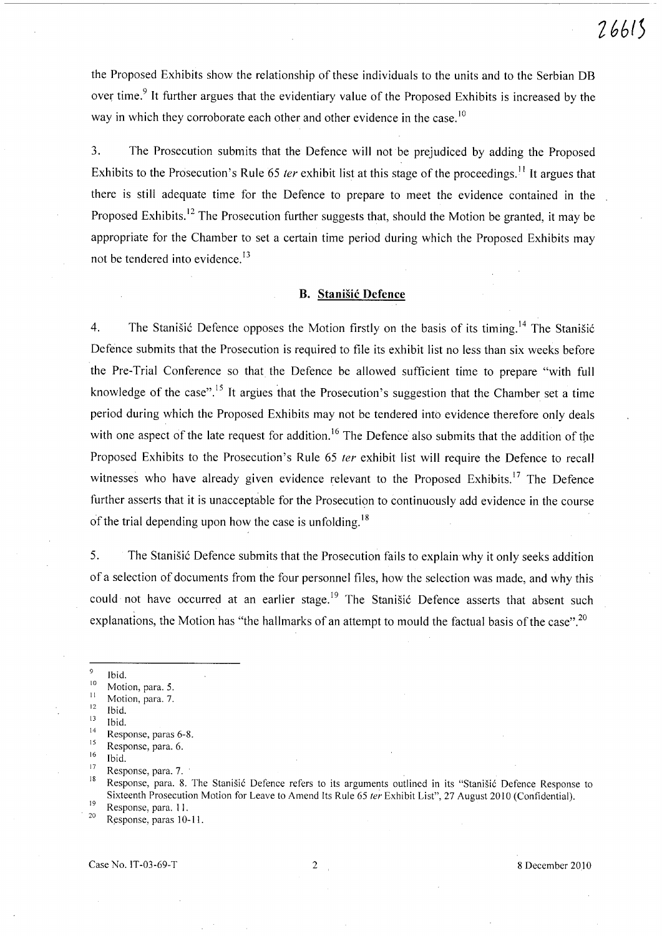the Proposed Exhibits show the relationship of these individuals to the units and to the Serbian DB over time.<sup>9</sup> It further argues that the evidentiary value of the Proposed Exhibits is increased by the way in which they corroborate each other and other evidence in the case.<sup>10</sup>

3. The Prosecution submits that the Defence will not be prejudiced by adding the Proposed Exhibits to the Prosecution's Rule 65 *ter* exhibit list at this stage of the proceedings.<sup>11</sup> It argues that there is still adequate time for the Defence to prepare to meet the evidence contained in the Proposed Exhibits.<sup>12</sup> The Prosecution further suggests that, should the Motion be granted, it may be appropriate for the Chamber to set a certain time period during which the Proposed Exhibits may not be tendered into evidence.<sup>13</sup>

### **B. Stanisic Defence**

4. The Stanisic Defence opposes the Motion firstly on the basis of its timing.<sup>14</sup> The Stanisic Defence submits that the Prosecution is required to file its exhibit list no less than six weeks before the Pre-Trial Conference so that the Defence be allowed sufficient time to prepare "with full knowledge of the case".<sup>15</sup> It argues that the Prosecution's suggestion that the Chamber set a time period during which the Proposed Exhibits may not be tendered into evidence therefore only deals with one aspect of the late request for addition.<sup>16</sup> The Defence also submits that the addition of the Proposed Exhibits to the Prosecution's Rule 65 *ter* exhibit list will require the Defence to recall witnesses who have already given evidence relevant to the Proposed Exhibits.<sup>17</sup> The Defence further asserts that it is unacceptable for the Prosecution to continuously add evidence in the course of the trial depending upon how the case is unfolding.<sup>18</sup>

5. The Stanisic Defence submits that the Prosecution fails to explain why it only seeks addition of a selection of documents from the four personnel files, how the selection was made, and why this could not have occurred at an earlier stage.<sup>19</sup> The Stanisic Defence asserts that absent such explanations, the Motion has "the hallmarks of an attempt to mould the factual basis of the case".<sup>20</sup>

Case No. IT-03-69-T 2 8 December 2010

Ibid.

 $\frac{10}{11}$  Motion, para. 5.

 $\frac{11}{12}$  Motion, para. 7.

 $\frac{12}{13}$  Ibid.

 $\frac{13}{14}$  Ibid.

 $^{14}$  Response, paras 6-8.

 $\frac{15}{16}$  Response, para. 6.

 $\frac{16}{17}$  Ibid.

 $^{17}$  Response, para. 7. .

Response, para. 8. The Stanišić Defence refers to its arguments outlined in its "Stanišić Defence Response to Sixteenth Prosecution Motion for Leave to Amend Its Rule 65 *ter* Exhibit List", 27 August 2010 (Confidential).  $\frac{19}{20}$  Response, para. 11.

Response, paras 10-11.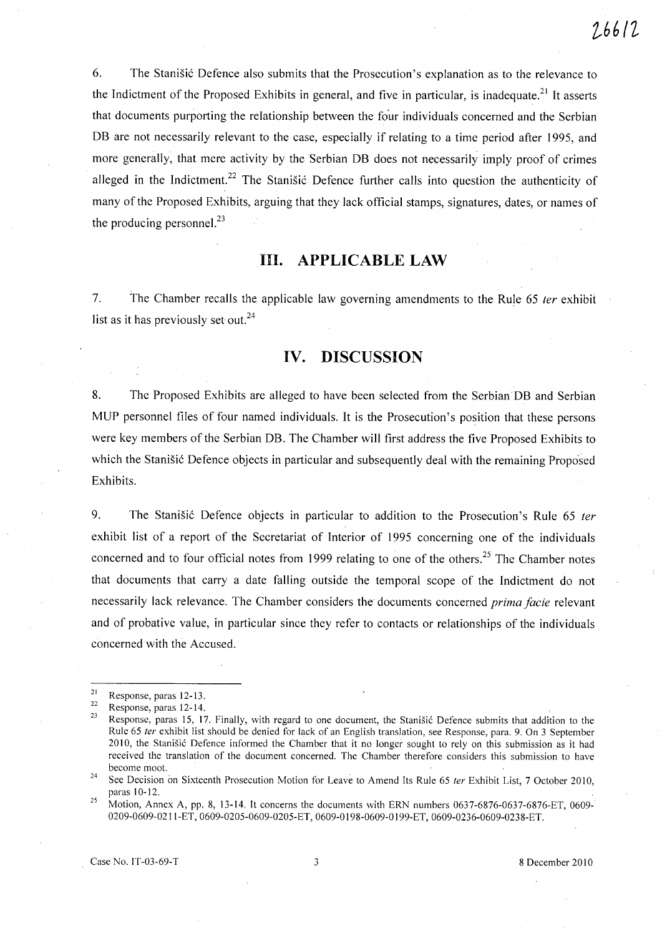6. The Stanišić Defence also submits that the Prosecution's explanation as to the relevance to the Indictment of the Proposed Exhibits in general, and five in particular, is inadequate.<sup>21</sup> It asserts that documents purporting the relationship between the four individuals concerned and the Serbian DB are not necessarily relevant to the case, especially if relating to a time period after 1995, and more generally, that mere activity by the Serbian DB does not necessarily imply proof of crimes alleged in the Indictment.<sup>22</sup> The Stanisic Defence further calls into question the authenticity of many of the Proposed Exhibits, arguing that they lack official stamps, signatures, dates, or names of the producing personnel. $^{23}$ 

# **Ill. APPLICABLE LAW**

7. The Chamber recalls the applicable law governing amendments to the Rule 65 ter exhibit list as it has previously set out.<sup>24</sup>

## **IV. DISCUSSION**

8. The Proposed Exhibits are alleged to have been selected from the Serbian DB and Serbian MUP personnel files of four named individuals. It is the Prosecution's position that these persons were key members of the Serbian DB. The Chamber will first address the five Proposed Exhibits to which the Stanišić Defence objects in particular and subsequently deal with the remaining Proposed Exhibits.

9. The Stanisić Defence objects in particular to addition to the Prosecution's Rule 65 ter exhibit list of a report of the Secretariat of Interior of 1995 concerning one of the individuals concerned and to four official notes from 1999 relating to one of the others.<sup>25</sup> The Chamber notes that documents that carry a date falling outside the temporal scope of the Indictment do not necessarily lack relevance. The Chamber considers the documents concerned *prima facie* relevant and of probative value, in particular since they refer to contacts or relationships of the individuals concerned with the Accused.

Case No. IT-03-69-T 3 8 December 2010

 $\frac{21}{22}$  Response, paras 12-13.

 $\frac{22}{23}$  Response, paras 12-14.

Response, paras 15, 17. Finally, with regard to one document, the Stanišić Defence submits that addition to the Rule 65 ter exhibit list should be denied for lack of an English translation, see Response, para. 9. On 3 September 2010, the Stanisić Defence informed the Chamber that it no longer sought to rely on this submission as it had received the translation of the document concerned. The Chamber therefore considers this submission to have become moot.

<sup>&</sup>lt;sup>24</sup> See Decision on Sixteenth Prosecution Motion for Leave to Amend Its Rule 65 *ter* Exhibit List, 7 October 2010, paras 10-12.

<sup>&</sup>lt;sup>25</sup> Motion, Annex A, pp. 8, 13-14. It concerns the documents with ERN numbers 0637-6876-0637-6876-ET, 0609-0209-0609-0211-ET, 0609-0205-0609-0205-ET, 0609-0198-0609-0 199-ET, 0609-0236-0609-0238-ET.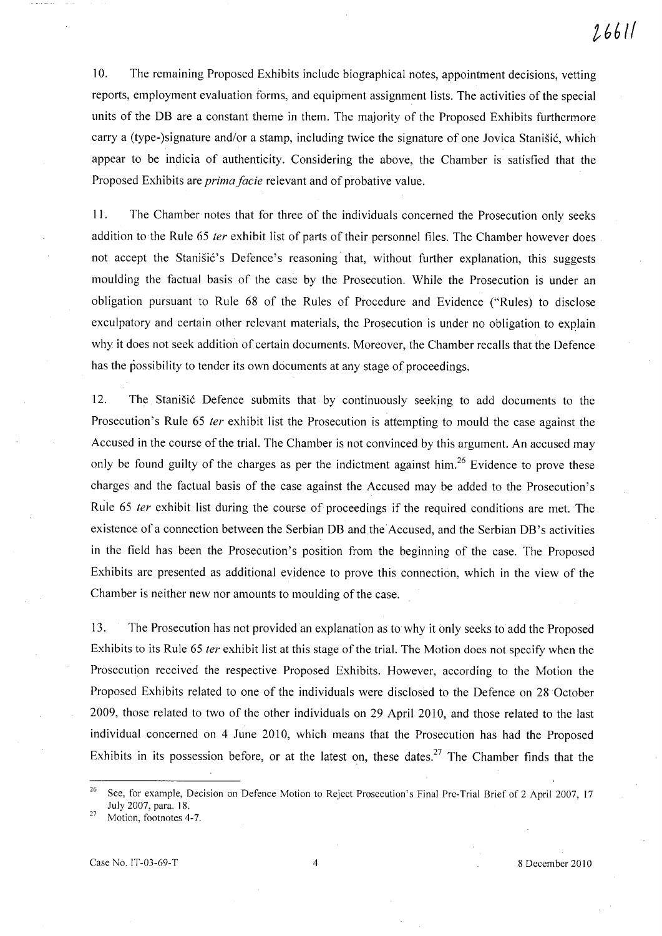10. The remaining Proposed Exhibits include biographical notes, appointment decisions, vetting reports, employment evaluation forms, and equipment assignment lists. The activities of the special units of the DB are a constant theme in them. The majority of the Proposed Exhibits furthermore carry a (type-)signature and/or a stamp, including twice the signature of one Jovica Stanišić, which appear to be indicia of authenticity. Considering the above, the Chamber is satisfied that the Proposed Exhibits are *prima facie* relevant and of probative value.

11. The Chamber notes that for three of the individuals concerned the Prosecution only seeks addition to the Rule 65 *{er* exhibit list of parts of their personnel files. The Chamber however does not accept the Stanisić's Defence's reasoning that, without further explanation, this suggests moulding the factual basis of the case by the Prosecution. While the Prosecution is under an obligation pursuant to Rule 68 of the Rules of Procedure and Evidence ("Rules) to disclose exculpatory and certain other relevant materials, the Prosecution is under no obligation to explain why it does not seek addition of certain documents. Moreover, the Chamber recalls that the Defence has the possibility to tender its own documents at any stage of proceedings.

12. The Stanisic Defence submits that by continuously seeking to add documents to the Prosecution's Rule 65 *ter* exhibit list the Prosecution is attempting to mould the case against the Accused in the course of the trial. The Chamber is not convinced by this argument. An accused may only be found guilty of the charges as per the indictment against him.<sup>26</sup> Evidence to prove these charges and the factual basis of the case against the Accused may be added to the Prosecution's Rule 65 *ter* exhibit list during the course of proceedings if the required conditions are met. The existence of a connection between the Serbian DB and the Accused, and the Serbian DB's activities in the field has been the Prosecution's position from the beginning of the case. The Proposed Exhibits are presented as additional evidence to prove this connection, which in the view of the Chamber is neither new nor amounts to moulding of the case.

13. The Prosecution has not provided an explanation as to why it only seeks to add the Proposed Exhibits to its Rule 65 *ter* exhibit list at this stage of the trial. The Motion does not specify when the Prosecution received the respective Proposed Exhibits. However, according to the Motion the Proposed Exhibits related to one of the individuals were disclosed to the Defence on 28 October 2009, those related to two of the other individuals on 29 April 2010, and those related to the last individual concerned on 4 June 2010, which means that the Prosecution has had the Proposed Exhibits in its possession before, or at the latest on, these dates.<sup>27</sup> The Chamber finds that the

<sup>&</sup>lt;sup>26</sup> See, for example, Decision on Defence Motion to Reject Prosecution's Final Pre-Trial Brief of 2 April 2007, 17 July 2007, para. 18.

<sup>27</sup> Motion, footnotes 4-7.